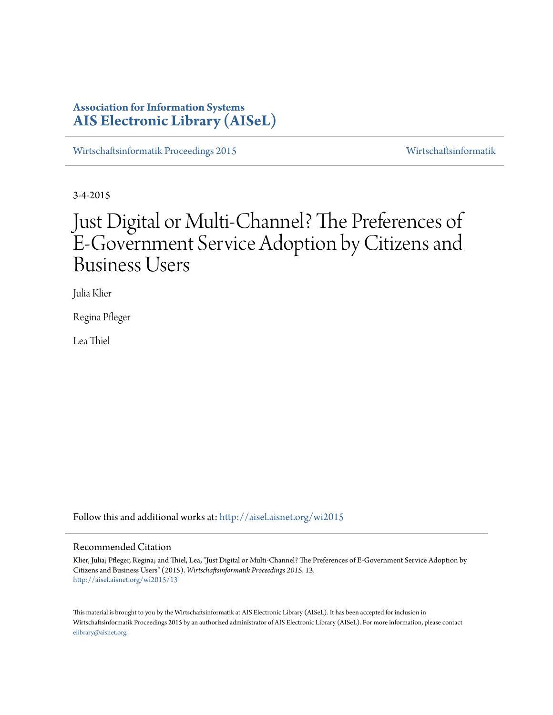# **Association for Information Systems [AIS Electronic Library \(AISeL\)](http://aisel.aisnet.org?utm_source=aisel.aisnet.org%2Fwi2015%2F13&utm_medium=PDF&utm_campaign=PDFCoverPages)**

[Wirtschaftsinformatik Proceedings 2015](http://aisel.aisnet.org/wi2015?utm_source=aisel.aisnet.org%2Fwi2015%2F13&utm_medium=PDF&utm_campaign=PDFCoverPages) [Wirtschaftsinformatik](http://aisel.aisnet.org/wi?utm_source=aisel.aisnet.org%2Fwi2015%2F13&utm_medium=PDF&utm_campaign=PDFCoverPages)

3-4-2015

# Just Digital or Multi-Channel? The Preferences of E-Government Service Adoption by Citizens and Business Users

Julia Klier

Regina Pfleger

Lea Thiel

Follow this and additional works at: [http://aisel.aisnet.org/wi2015](http://aisel.aisnet.org/wi2015?utm_source=aisel.aisnet.org%2Fwi2015%2F13&utm_medium=PDF&utm_campaign=PDFCoverPages)

## Recommended Citation

Klier, Julia; Pfleger, Regina; and Thiel, Lea, "Just Digital or Multi-Channel? The Preferences of E-Government Service Adoption by Citizens and Business Users" (2015). *Wirtschaftsinformatik Proceedings 2015*. 13. [http://aisel.aisnet.org/wi2015/13](http://aisel.aisnet.org/wi2015/13?utm_source=aisel.aisnet.org%2Fwi2015%2F13&utm_medium=PDF&utm_campaign=PDFCoverPages)

This material is brought to you by the Wirtschaftsinformatik at AIS Electronic Library (AISeL). It has been accepted for inclusion in Wirtschaftsinformatik Proceedings 2015 by an authorized administrator of AIS Electronic Library (AISeL). For more information, please contact [elibrary@aisnet.org.](mailto:elibrary@aisnet.org%3E)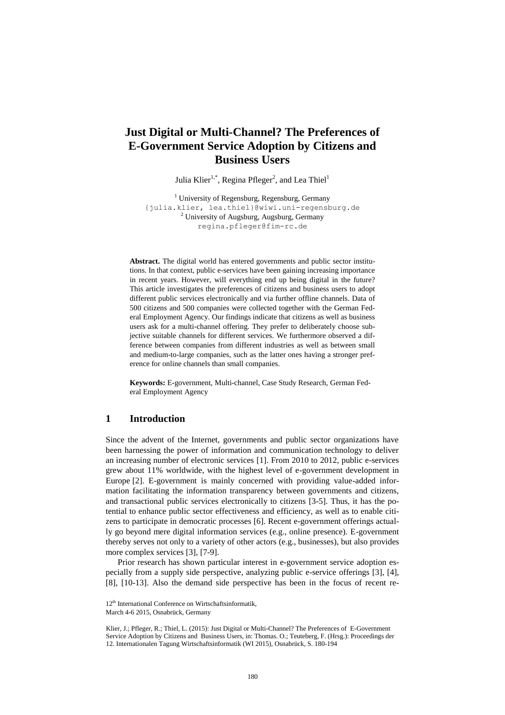## **Just Digital or Multi-Channel? The Preferences of E-Government Service Adoption by Citizens and Business Users**

Julia Klier<sup>1,\*</sup>, Regina Pfleger<sup>2</sup>, and Lea Thiel<sup>1</sup>

 $<sup>1</sup>$  University of Regensburg, Regensburg, Germany</sup> {julia.klier, lea.thiel}@wiwi.uni-regensburg.de  $2$  University of Augsburg, Augsburg, Germany regina.pfleger@fim-rc.de

**Abstract.** The digital world has entered governments and public sector institutions. In that context, public e-services have been gaining increasing importance in recent years. However, will everything end up being digital in the future? This article investigates the preferences of citizens and business users to adopt different public services electronically and via further offline channels. Data of 500 citizens and 500 companies were collected together with the German Federal Employment Agency. Our findings indicate that citizens as well as business users ask for a multi-channel offering. They prefer to deliberately choose subjective suitable channels for different services. We furthermore observed a difference between companies from different industries as well as between small and medium-to-large companies, such as the latter ones having a stronger preference for online channels than small companies.

**Keywords:** E-government, Multi-channel, Case Study Research, German Federal Employment Agency

## **1 Introduction**

Since the advent of the Internet, governments and public sector organizations have been harnessing the power of information and communication technology to deliver an increasing number of electronic services [1]. From 2010 to 2012, public e-services grew about 11% worldwide, with the highest level of e-government development in Europe [2]. E-government is mainly concerned with providing value-added information facilitating the information transparency between governments and citizens, and transactional public services electronically to citizens [3-5]. Thus, it has the potential to enhance public sector effectiveness and efficiency, as well as to enable citizens to participate in democratic processes [6]. Recent e-government offerings actually go beyond mere digital information services (e.g., online presence). E-government thereby serves not only to a variety of other actors (e.g., businesses), but also provides more complex services [3], [7-9].

Prior research has shown particular interest in e-government service adoption especially from a supply side perspective, analyzing public e-service offerings [3], [4], [8], [10-13]. Also the demand side perspective has been in the focus of recent re-

<sup>12&</sup>lt;sup>th</sup> International Conference on Wirtschaftsinformatik,

March 4-6 2015, Osnabrück, Germany

Klier, J.; Pfleger, R.; Thiel, L. (2015): Just Digital or Multi-Channel? The Preferences of E-Government Service Adoption by Citizens and Business Users, in: Thomas. O.; Teuteberg, F. (Hrsg.): Proceedings der 12. Internationalen Tagung Wirtschaftsinformatik (WI 2015), Osnabrück, S. 180-194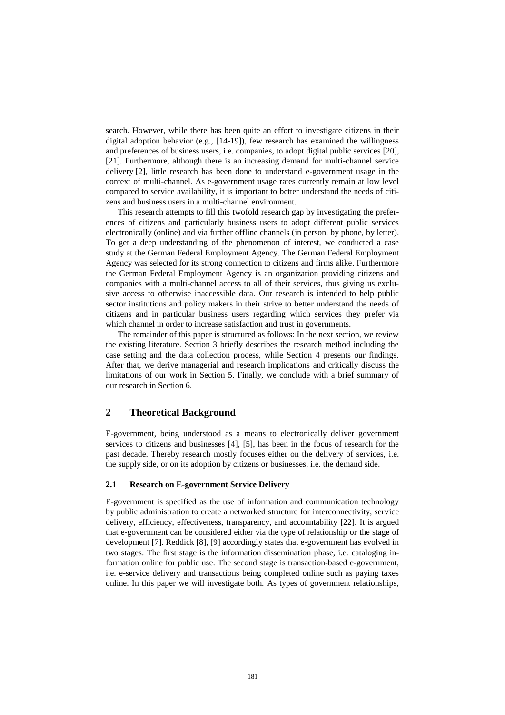search. However, while there has been quite an effort to investigate citizens in their digital adoption behavior (e.g., [14-19]), few research has examined the willingness and preferences of business users, i.e. companies, to adopt digital public services [20], [21]. Furthermore, although there is an increasing demand for multi-channel service delivery [2], little research has been done to understand e-government usage in the context of multi-channel. As e-government usage rates currently remain at low level compared to service availability, it is important to better understand the needs of citizens and business users in a multi-channel environment.

This research attempts to fill this twofold research gap by investigating the preferences of citizens and particularly business users to adopt different public services electronically (online) and via further offline channels (in person, by phone, by letter). To get a deep understanding of the phenomenon of interest, we conducted a case study at the German Federal Employment Agency. The German Federal Employment Agency was selected for its strong connection to citizens and firms alike. Furthermore the German Federal Employment Agency is an organization providing citizens and companies with a multi-channel access to all of their services, thus giving us exclusive access to otherwise inaccessible data. Our research is intended to help public sector institutions and policy makers in their strive to better understand the needs of citizens and in particular business users regarding which services they prefer via which channel in order to increase satisfaction and trust in governments.

The remainder of this paper is structured as follows: In the next section, we review the existing literature. Section 3 briefly describes the research method including the case setting and the data collection process, while Section 4 presents our findings. After that, we derive managerial and research implications and critically discuss the limitations of our work in Section 5. Finally, we conclude with a brief summary of our research in Section 6.

## **2 Theoretical Background**

E-government, being understood as a means to electronically deliver government services to citizens and businesses [4], [5], has been in the focus of research for the past decade. Thereby research mostly focuses either on the delivery of services, i.e. the supply side, or on its adoption by citizens or businesses, i.e. the demand side.

#### **2.1 Research on E-government Service Delivery**

E-government is specified as the use of information and communication technology by public administration to create a networked structure for interconnectivity, service delivery, efficiency, effectiveness, transparency, and accountability [22]. It is argued that e-government can be considered either via the type of relationship or the stage of development [7]. Reddick [8], [9] accordingly states that e-government has evolved in two stages. The first stage is the information dissemination phase, i.e. cataloging information online for public use. The second stage is transaction-based e-government, i.e. e-service delivery and transactions being completed online such as paying taxes online. In this paper we will investigate both. As types of government relationships,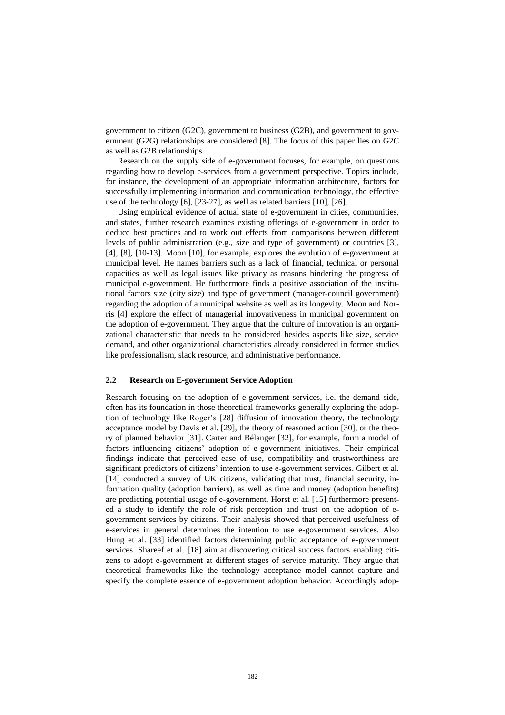government to citizen (G2C), government to business (G2B), and government to government (G2G) relationships are considered [8]. The focus of this paper lies on G2C as well as G2B relationships.

Research on the supply side of e-government focuses, for example, on questions regarding how to develop e-services from a government perspective. Topics include, for instance, the development of an appropriate information architecture, factors for successfully implementing information and communication technology, the effective use of the technology [6], [23-27], as well as related barriers [10], [26].

Using empirical evidence of actual state of e-government in cities, communities, and states, further research examines existing offerings of e-government in order to deduce best practices and to work out effects from comparisons between different levels of public administration (e.g., size and type of government) or countries [3], [4], [8], [10-13]. Moon [10], for example, explores the evolution of e-government at municipal level. He names barriers such as a lack of financial, technical or personal capacities as well as legal issues like privacy as reasons hindering the progress of municipal e-government. He furthermore finds a positive association of the institutional factors size (city size) and type of government (manager-council government) regarding the adoption of a municipal website as well as its longevity. Moon and Norris [4] explore the effect of managerial innovativeness in municipal government on the adoption of e-government. They argue that the culture of innovation is an organizational characteristic that needs to be considered besides aspects like size, service demand, and other organizational characteristics already considered in former studies like professionalism, slack resource, and administrative performance.

#### **2.2 Research on E-government Service Adoption**

Research focusing on the adoption of e-government services, i.e. the demand side, often has its foundation in those theoretical frameworks generally exploring the adoption of technology like Roger's [28] diffusion of innovation theory, the technology acceptance model by Davis et al. [29], the theory of reasoned action [30], or the theory of planned behavior [31]. Carter and Bélanger [32], for example, form a model of factors influencing citizens' adoption of e-government initiatives. Their empirical findings indicate that perceived ease of use, compatibility and trustworthiness are significant predictors of citizens' intention to use e-government services. Gilbert et al. [14] conducted a survey of UK citizens, validating that trust, financial security, information quality (adoption barriers), as well as time and money (adoption benefits) are predicting potential usage of e-government. Horst et al. [15] furthermore presented a study to identify the role of risk perception and trust on the adoption of egovernment services by citizens. Their analysis showed that perceived usefulness of e-services in general determines the intention to use e-government services. Also Hung et al. [33] identified factors determining public acceptance of e-government services. Shareef et al. [18] aim at discovering critical success factors enabling citizens to adopt e-government at different stages of service maturity. They argue that theoretical frameworks like the technology acceptance model cannot capture and specify the complete essence of e-government adoption behavior. Accordingly adop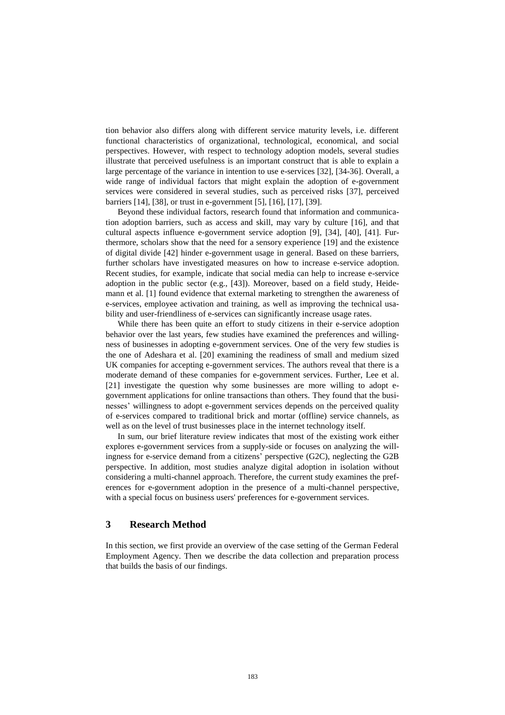tion behavior also differs along with different service maturity levels, i.e. different functional characteristics of organizational, technological, economical, and social perspectives. However, with respect to technology adoption models, several studies illustrate that perceived usefulness is an important construct that is able to explain a large percentage of the variance in intention to use e-services [32], [34-36]. Overall, a wide range of individual factors that might explain the adoption of e-government services were considered in several studies, such as perceived risks [37], perceived barriers [14], [38], or trust in e-government [5], [16], [17], [39].

Beyond these individual factors, research found that information and communication adoption barriers, such as access and skill, may vary by culture [16], and that cultural aspects influence e-government service adoption [9], [34], [40], [41]. Furthermore, scholars show that the need for a sensory experience [19] and the existence of digital divide [42] hinder e-government usage in general. Based on these barriers, further scholars have investigated measures on how to increase e-service adoption. Recent studies, for example, indicate that social media can help to increase e-service adoption in the public sector (e.g., [43]). Moreover, based on a field study, Heidemann et al. [1] found evidence that external marketing to strengthen the awareness of e-services, employee activation and training, as well as improving the technical usability and user-friendliness of e-services can significantly increase usage rates.

While there has been quite an effort to study citizens in their e-service adoption behavior over the last years, few studies have examined the preferences and willingness of businesses in adopting e-government services. One of the very few studies is the one of Adeshara et al. [20] examining the readiness of small and medium sized UK companies for accepting e-government services. The authors reveal that there is a moderate demand of these companies for e-government services. Further, Lee et al. [21] investigate the question why some businesses are more willing to adopt egovernment applications for online transactions than others. They found that the businesses' willingness to adopt e-government services depends on the perceived quality of e-services compared to traditional brick and mortar (offline) service channels, as well as on the level of trust businesses place in the internet technology itself.

In sum, our brief literature review indicates that most of the existing work either explores e-government services from a supply-side or focuses on analyzing the willingness for e-service demand from a citizens' perspective (G2C), neglecting the G2B perspective. In addition, most studies analyze digital adoption in isolation without considering a multi-channel approach. Therefore, the current study examines the preferences for e-government adoption in the presence of a multi-channel perspective, with a special focus on business users' preferences for e-government services.

## **3 Research Method**

In this section, we first provide an overview of the case setting of the German Federal Employment Agency. Then we describe the data collection and preparation process that builds the basis of our findings.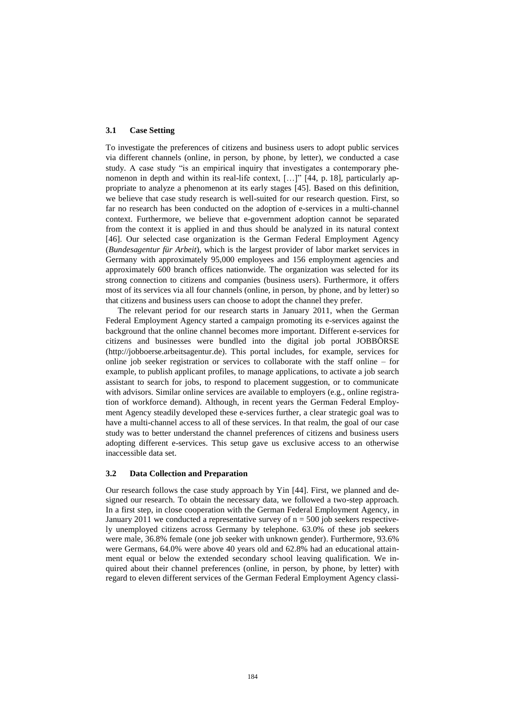#### **3.1 Case Setting**

To investigate the preferences of citizens and business users to adopt public services via different channels (online, in person, by phone, by letter), we conducted a case study. A case study "is an empirical inquiry that investigates a contemporary phenomenon in depth and within its real-life context, […]" [44, p. 18], particularly appropriate to analyze a phenomenon at its early stages [45]. Based on this definition, we believe that case study research is well-suited for our research question. First, so far no research has been conducted on the adoption of e-services in a multi-channel context. Furthermore, we believe that e-government adoption cannot be separated from the context it is applied in and thus should be analyzed in its natural context [46]. Our selected case organization is the German Federal Employment Agency (*Bundesagentur für Arbeit*), which is the largest provider of labor market services in Germany with approximately 95,000 employees and 156 employment agencies and approximately 600 branch offices nationwide. The organization was selected for its strong connection to citizens and companies (business users). Furthermore, it offers most of its services via all four channels (online, in person, by phone, and by letter) so that citizens and business users can choose to adopt the channel they prefer.

The relevant period for our research starts in January 2011, when the German Federal Employment Agency started a campaign promoting its e-services against the background that the online channel becomes more important. Different e-services for citizens and businesses were bundled into the digital job portal JOBBÖRSE (http://jobboerse.arbeitsagentur.de). This portal includes, for example, services for online job seeker registration or services to collaborate with the staff online – for example, to publish applicant profiles, to manage applications, to activate a job search assistant to search for jobs, to respond to placement suggestion, or to communicate with advisors. Similar online services are available to employers (e.g., online registration of workforce demand). Although, in recent years the German Federal Employment Agency steadily developed these e-services further, a clear strategic goal was to have a multi-channel access to all of these services. In that realm, the goal of our case study was to better understand the channel preferences of citizens and business users adopting different e-services. This setup gave us exclusive access to an otherwise inaccessible data set.

#### **3.2 Data Collection and Preparation**

Our research follows the case study approach by Yin [44]. First, we planned and designed our research. To obtain the necessary data, we followed a two-step approach. In a first step, in close cooperation with the German Federal Employment Agency, in January 2011 we conducted a representative survey of  $n = 500$  job seekers respectively unemployed citizens across Germany by telephone. 63.0% of these job seekers were male, 36.8% female (one job seeker with unknown gender). Furthermore, 93.6% were Germans, 64.0% were above 40 years old and 62.8% had an educational attainment equal or below the extended secondary school leaving qualification. We inquired about their channel preferences (online, in person, by phone, by letter) with regard to eleven different services of the German Federal Employment Agency classi-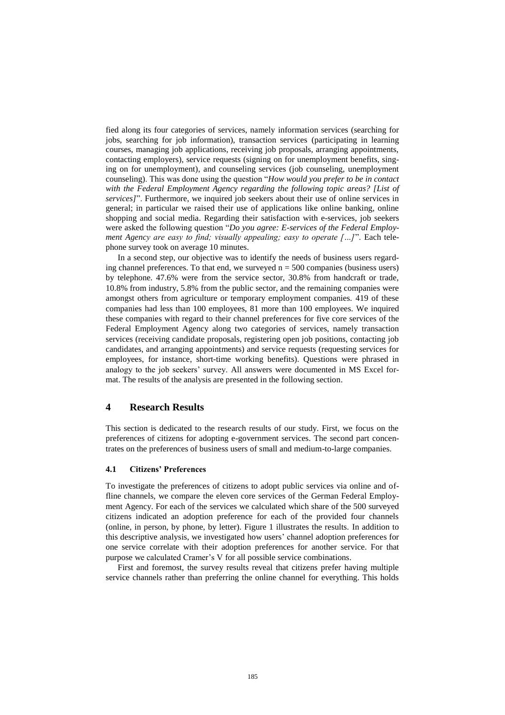fied along its four categories of services, namely information services (searching for jobs, searching for job information), transaction services (participating in learning courses, managing job applications, receiving job proposals, arranging appointments, contacting employers), service requests (signing on for unemployment benefits, singing on for unemployment), and counseling services (job counseling, unemployment counseling). This was done using the question "*How would you prefer to be in contact with the Federal Employment Agency regarding the following topic areas? [List of services]*". Furthermore, we inquired job seekers about their use of online services in general; in particular we raised their use of applications like online banking, online shopping and social media. Regarding their satisfaction with e-services, job seekers were asked the following question "*Do you agree: E-services of the Federal Employment Agency are easy to find; visually appealing; easy to operate […]*". Each telephone survey took on average 10 minutes.

In a second step, our objective was to identify the needs of business users regarding channel preferences. To that end, we surveyed  $n = 500$  companies (business users) by telephone. 47.6% were from the service sector, 30.8% from handcraft or trade, 10.8% from industry, 5.8% from the public sector, and the remaining companies were amongst others from agriculture or temporary employment companies. 419 of these companies had less than 100 employees, 81 more than 100 employees. We inquired these companies with regard to their channel preferences for five core services of the Federal Employment Agency along two categories of services, namely transaction services (receiving candidate proposals, registering open job positions, contacting job candidates, and arranging appointments) and service requests (requesting services for employees, for instance, [short-time](http://www.dict.cc/englisch-deutsch/short-time.html) [working](http://www.dict.cc/englisch-deutsch/working.html) [benefits](http://www.dict.cc/englisch-deutsch/benefit.html)). Questions were phrased in analogy to the job seekers' survey. All answers were documented in MS Excel format. The results of the analysis are presented in the following section.

## **4 Research Results**

This section is dedicated to the research results of our study. First, we focus on the preferences of citizens for adopting e-government services. The second part concentrates on the preferences of business users of small and medium-to-large companies.

#### **4.1 Citizens' Preferences**

To investigate the preferences of citizens to adopt public services via online and offline channels, we compare the eleven core services of the German Federal Employment Agency. For each of the services we calculated which share of the 500 surveyed citizens indicated an adoption preference for each of the provided four channels (online, in person, by phone, by letter). Figure 1 illustrates the results. In addition to this descriptive analysis, we investigated how users' channel adoption preferences for one service correlate with their adoption preferences for another service. For that purpose we calculated Cramer's V for all possible service combinations.

First and foremost, the survey results reveal that citizens prefer having multiple service channels rather than preferring the online channel for everything. This holds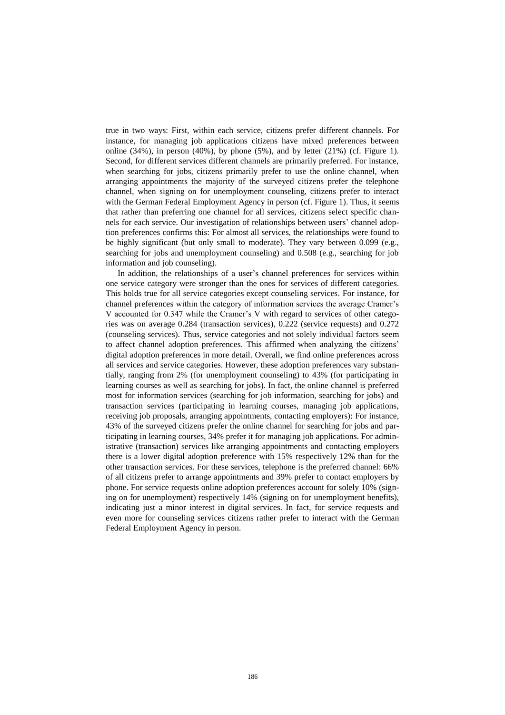true in two ways: First, within each service, citizens prefer different channels. For instance, for managing job applications citizens have mixed preferences between online  $(34\%)$ , in person  $(40\%)$ , by phone  $(5\%)$ , and by letter  $(21\%)$  (cf. Figure 1). Second, for different services different channels are primarily preferred. For instance, when searching for jobs, citizens primarily prefer to use the online channel, when arranging appointments the majority of the surveyed citizens prefer the telephone channel, when signing on for unemployment counseling, citizens prefer to interact with the German Federal Employment Agency in person (cf. Figure 1). Thus, it seems that rather than preferring one channel for all services, citizens select specific channels for each service. Our investigation of relationships between users' channel adoption preferences confirms this: For almost all services, the relationships were found to be highly significant (but only small to moderate). They vary between 0.099 (e.g., searching for jobs and unemployment counseling) and 0.508 (e.g., searching for job information and job counseling).

In addition, the relationships of a user's channel preferences for services within one service category were stronger than the ones for services of different categories. This holds true for all service categories except counseling services. For instance, for channel preferences within the category of information services the average Cramer's V accounted for 0.347 while the Cramer's V with regard to services of other categories was on average 0.284 (transaction services), 0.222 (service requests) and 0.272 (counseling services). Thus, service categories and not solely individual factors seem to affect channel adoption preferences. This affirmed when analyzing the citizens' digital adoption preferences in more detail. Overall, we find online preferences across all services and service categories. However, these adoption preferences vary substantially, ranging from 2% (for unemployment counseling) to 43% (for participating in learning courses as well as searching for jobs). In fact, the online channel is preferred most for information services (searching for job information, searching for jobs) and transaction services (participating in learning courses, managing job applications, receiving job proposals, arranging appointments, contacting employers): For instance, 43% of the surveyed citizens prefer the online channel for searching for jobs and participating in learning courses, 34% prefer it for managing job applications. For administrative (transaction) services like arranging appointments and contacting employers there is a lower digital adoption preference with 15% respectively 12% than for the other transaction services. For these services, telephone is the preferred channel: 66% of all citizens prefer to arrange appointments and 39% prefer to contact employers by phone. For service requests online adoption preferences account for solely 10% (signing on for unemployment) respectively 14% (signing on for unemployment benefits), indicating just a minor interest in digital services. In fact, for service requests and even more for counseling services citizens rather prefer to interact with the German Federal Employment Agency in person.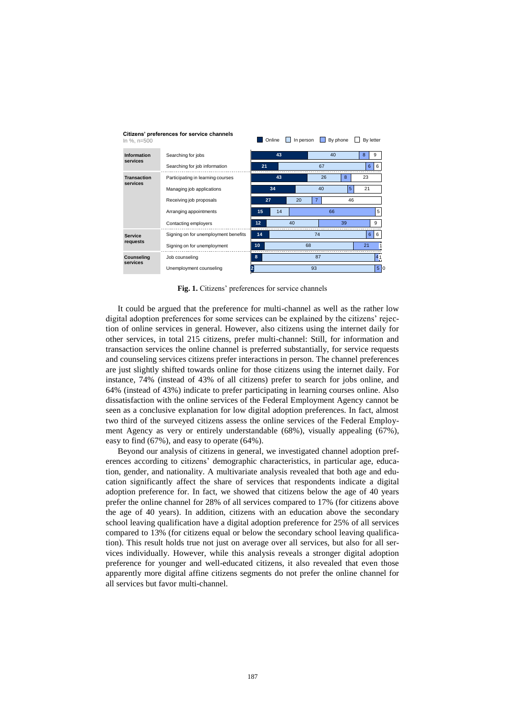| In %, $n=500$                  |                                      |    | Online | In person |                |    | By phone |                | By letter |  |
|--------------------------------|--------------------------------------|----|--------|-----------|----------------|----|----------|----------------|-----------|--|
| <b>Information</b><br>services | Searching for jobs                   | 43 |        |           | 40             |    |          | 8              | 9         |  |
|                                | Searching for job information        | 21 |        |           | 67             |    |          | 6              | 6         |  |
| <b>Transaction</b><br>services | Participating in learning courses    |    | 43     |           | 26             |    | 8        | 23             |           |  |
|                                | Managing job applications            |    | 34     |           | 40             |    | 5        | 21             |           |  |
|                                | Receiving job proposals              | 27 |        | 20        | $\overline{7}$ | 46 |          |                |           |  |
|                                | Arranging appointments               | 15 | 14     |           |                | 66 |          |                | 5         |  |
|                                | Contacting employers                 | 12 | 40     |           |                | 39 |          |                | 9         |  |
| <b>Service</b><br>requests     | Signing on for unemployment benefits | 14 | 74     |           |                |    |          | 6 <sup>1</sup> | 6         |  |
|                                | Signing on for unemployment          | 10 | 68     |           |                |    |          | 21             |           |  |
| Counseling<br>services         | Job counseling                       | 8  | 87     |           |                |    |          |                | 41        |  |
|                                | Unemployment counseling              | 93 |        |           |                |    |          |                | 5 0       |  |

**Citizens' preferences for service channels** In %, n=500

**Fig. 1.** Citizens' preferences for service channels

It could be argued that the preference for multi-channel as well as the rather low digital adoption preferences for some services can be explained by the citizens' rejection of online services in general. However, also citizens using the internet daily for other services, in total 215 citizens, prefer multi-channel: Still, for information and transaction services the online channel is preferred substantially, for service requests and counseling services citizens prefer interactions in person. The channel preferences are just slightly shifted towards online for those citizens using the internet daily. For instance, 74% (instead of 43% of all citizens) prefer to search for jobs online, and 64% (instead of 43%) indicate to prefer participating in learning courses online. Also dissatisfaction with the online services of the Federal Employment Agency cannot be seen as a conclusive explanation for low digital adoption preferences. In fact, almost two third of the surveyed citizens assess the online services of the Federal Employment Agency as very or entirely understandable (68%), visually appealing (67%), easy to find (67%), and easy to operate (64%).

Beyond our analysis of citizens in general, we investigated channel adoption preferences according to citizens' demographic characteristics, in particular age, education, gender, and nationality. A multivariate analysis revealed that both age and education significantly affect the share of services that respondents indicate a digital adoption preference for. In fact, we showed that citizens below the age of 40 years prefer the online channel for 28% of all services compared to 17% (for citizens above the age of 40 years). In addition, citizens with an education above the secondary school leaving qualification have a digital adoption preference for 25% of all services compared to 13% (for citizens equal or below the secondary school leaving qualification). This result holds true not just on average over all services, but also for all services individually. However, while this analysis reveals a stronger digital adoption preference for younger and well-educated citizens, it also revealed that even those apparently more digital affine citizens segments do not prefer the online channel for all services but favor multi-channel.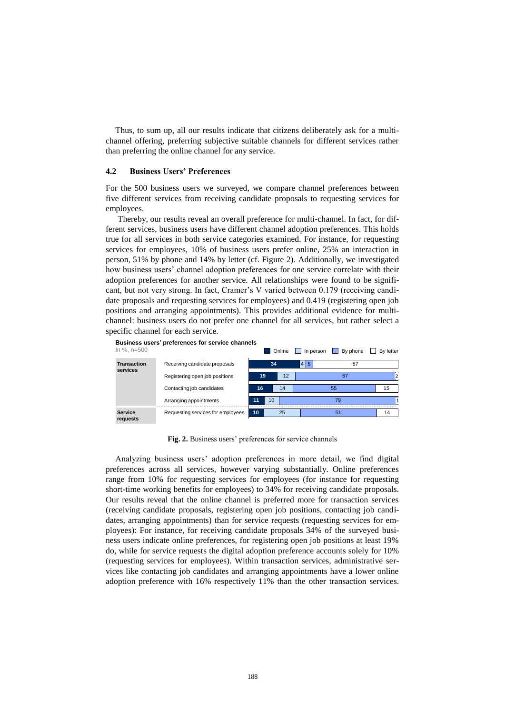Thus, to sum up, all our results indicate that citizens deliberately ask for a multichannel offering, preferring subjective suitable channels for different services rather than preferring the online channel for any service.

#### **4.2 Business Users' Preferences**

For the 500 business users we surveyed, we compare channel preferences between five different services from receiving candidate proposals to requesting services for employees.

Thereby, our results reveal an overall preference for multi-channel. In fact, for different services, business users have different channel adoption preferences. This holds true for all services in both service categories examined. For instance, for requesting services for employees, 10% of business users prefer online, 25% an interaction in person, 51% by phone and 14% by letter (cf. Figure 2). Additionally, we investigated how business users' channel adoption preferences for one service correlate with their adoption preferences for another service. All relationships were found to be significant, but not very strong. In fact, Cramer's V varied between 0.179 (receiving candidate proposals and requesting services for employees) and 0.419 (registering open job positions and arranging appointments). This provides additional evidence for multichannel: business users do not prefer one channel for all services, but rather select a specific channel for each service.



**Fig. 2.** Business users' preferences for service channels

Analyzing business users' adoption preferences in more detail, we find digital preferences across all services, however varying substantially. Online preferences range from 10% for requesting services for employees (for instance for requesting [short-time](http://www.dict.cc/englisch-deutsch/short-time.html) [working](http://www.dict.cc/englisch-deutsch/working.html) [benefits](http://www.dict.cc/englisch-deutsch/benefit.html) for employees) to 34% for receiving candidate proposals. Our results reveal that the online channel is preferred more for transaction services (receiving candidate proposals, registering open job positions, contacting job candidates, arranging appointments) than for service requests (requesting services for employees): For instance, for receiving candidate proposals 34% of the surveyed business users indicate online preferences, for registering open job positions at least 19% do, while for service requests the digital adoption preference accounts solely for 10% (requesting services for employees). Within transaction services, administrative services like contacting job candidates and arranging appointments have a lower online adoption preference with 16% respectively 11% than the other transaction services.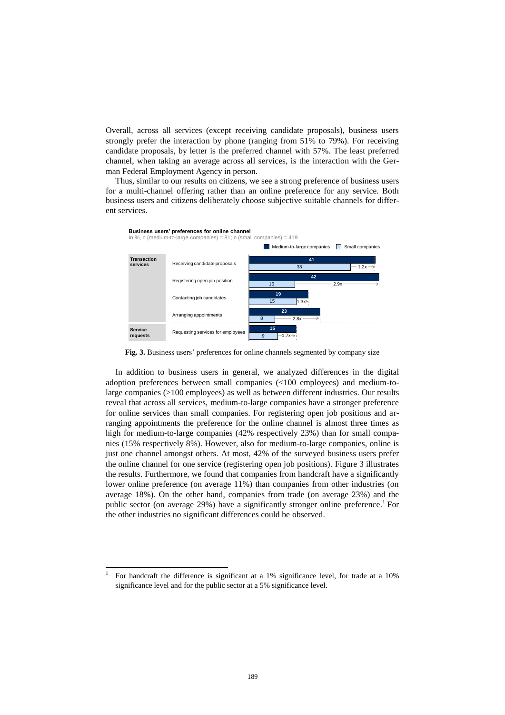Overall, across all services (except receiving candidate proposals), business users strongly prefer the interaction by phone (ranging from 51% to 79%). For receiving candidate proposals, by letter is the preferred channel with 57%. The least preferred channel, when taking an average across all services, is the interaction with the German Federal Employment Agency in person.

Thus, similar to our results on citizens, we see a strong preference of business users for a multi-channel offering rather than an online preference for any service. Both business users and citizens deliberately choose subjective suitable channels for different services.



**Fig. 3.** Business users' preferences for online channels segmented by company size

In addition to business users in general, we analyzed differences in the digital adoption preferences between small companies (<100 employees) and medium-tolarge companies (>100 employees) as well as between different industries. Our results reveal that across all services, medium-to-large companies have a stronger preference for online services than small companies. For registering open job positions and arranging appointments the preference for the online channel is almost three times as high for medium-to-large companies (42% respectively 23%) than for small companies (15% respectively 8%). However, also for medium-to-large companies, online is just one channel amongst others. At most, 42% of the surveyed business users prefer the online channel for one service (registering open job positions). Figure 3 illustrates the results. Furthermore, we found that companies from handcraft have a significantly lower online preference (on average 11%) than companies from other industries (on average 18%). On the other hand, companies from trade (on average 23%) and the public sector (on average 29%) have a significantly stronger online preference.<sup>1</sup> For the other industries no significant differences could be observed.

 $\overline{\phantom{a}}$ 

<sup>1</sup> For handcraft the difference is significant at a 1% significance level, for trade at a 10% significance level and for the public sector at a 5% significance level.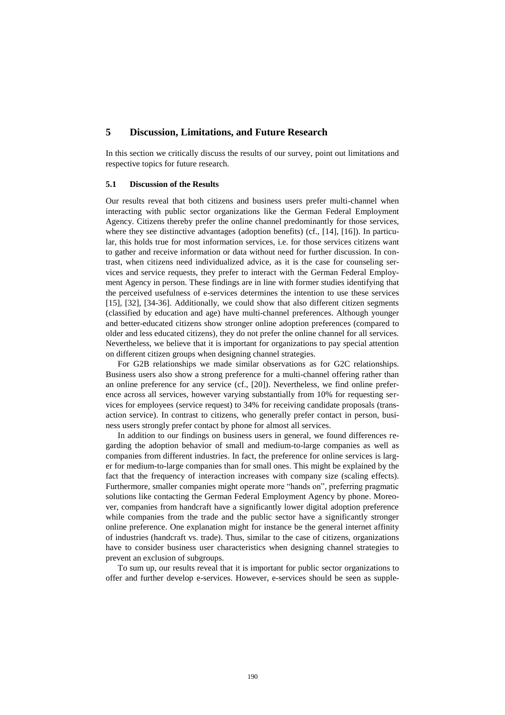## **5 Discussion, Limitations, and Future Research**

In this section we critically discuss the results of our survey, point out limitations and respective topics for future research.

#### **5.1 Discussion of the Results**

Our results reveal that both citizens and business users prefer multi-channel when interacting with public sector organizations like the German Federal Employment Agency. Citizens thereby prefer the online channel predominantly for those services, where they see distinctive advantages (adoption benefits) (cf., [14], [16]). In particular, this holds true for most information services, i.e. for those services citizens want to gather and receive information or data without need for further discussion. In contrast, when citizens need individualized advice, as it is the case for counseling services and service requests, they prefer to interact with the German Federal Employment Agency in person. These findings are in line with former studies identifying that the perceived usefulness of e-services determines the intention to use these services [15], [32], [34-36]. Additionally, we could show that also different citizen segments (classified by education and age) have multi-channel preferences. Although younger and better-educated citizens show stronger online adoption preferences (compared to older and less educated citizens), they do not prefer the online channel for all services. Nevertheless, we believe that it is important for organizations to pay special attention on different citizen groups when designing channel strategies.

For G2B relationships we made similar observations as for G2C relationships. Business users also show a strong preference for a multi-channel offering rather than an online preference for any service (cf., [20]). Nevertheless, we find online preference across all services, however varying substantially from 10% for requesting services for employees (service request) to 34% for receiving candidate proposals (transaction service). In contrast to citizens, who generally prefer contact in person, business users strongly prefer contact by phone for almost all services.

In addition to our findings on business users in general, we found differences regarding the adoption behavior of small and medium-to-large companies as well as companies from different industries. In fact, the preference for online services is larger for medium-to-large companies than for small ones. This might be explained by the fact that the frequency of interaction increases with company size (scaling effects). Furthermore, smaller companies might operate more "hands on", preferring pragmatic solutions like contacting the German Federal Employment Agency by phone. Moreover, companies from handcraft have a significantly lower digital adoption preference while companies from the trade and the public sector have a significantly stronger online preference. One explanation might for instance be the general internet affinity of industries (handcraft vs. trade). Thus, similar to the case of citizens, organizations have to consider business user characteristics when designing channel strategies to prevent an exclusion of subgroups.

To sum up, our results reveal that it is important for public sector organizations to offer and further develop e-services. However, e-services should be seen as supple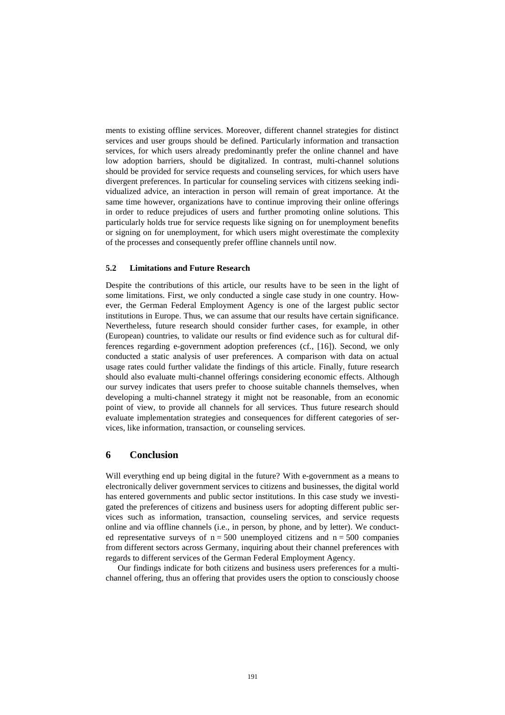ments to existing offline services. Moreover, different channel strategies for distinct services and user groups should be defined. Particularly information and transaction services, for which users already predominantly prefer the online channel and have low adoption barriers, should be digitalized. In contrast, multi-channel solutions should be provided for service requests and counseling services, for which users have divergent preferences. In particular for counseling services with citizens seeking individualized advice, an interaction in person will remain of great importance. At the same time however, organizations have to continue improving their online offerings in order to reduce prejudices of users and further promoting online solutions. This particularly holds true for service requests like signing on for unemployment benefits or signing on for unemployment, for which users might overestimate the complexity of the processes and consequently prefer offline channels until now.

#### **5.2 Limitations and Future Research**

Despite the contributions of this article, our results have to be seen in the light of some limitations. First, we only conducted a single case study in one country. However, the German Federal Employment Agency is one of the largest public sector institutions in Europe. Thus, we can assume that our results have certain significance. Nevertheless, future research should consider further cases, for example, in other (European) countries, to validate our results or find evidence such as for cultural differences regarding e-government adoption preferences (cf., [16]). Second, we only conducted a static analysis of user preferences. A comparison with data on actual usage rates could further validate the findings of this article. Finally, future research should also evaluate multi-channel offerings considering economic effects. Although our survey indicates that users prefer to choose suitable channels themselves, when developing a multi-channel strategy it might not be reasonable, from an economic point of view, to provide all channels for all services. Thus future research should evaluate implementation strategies and consequences for different categories of services, like information, transaction, or counseling services.

## **6 Conclusion**

Will everything end up being digital in the future? With e-government as a means to electronically deliver government services to citizens and businesses, the digital world has entered governments and public sector institutions. In this case study we investigated the preferences of citizens and business users for adopting different public services such as information, transaction, counseling services, and service requests online and via offline channels (i.e., in person, by phone, and by letter). We conducted representative surveys of  $n = 500$  unemployed citizens and  $n = 500$  companies from different sectors across Germany, inquiring about their channel preferences with regards to different services of the German Federal Employment Agency.

Our findings indicate for both citizens and business users preferences for a multichannel offering, thus an offering that provides users the option to consciously choose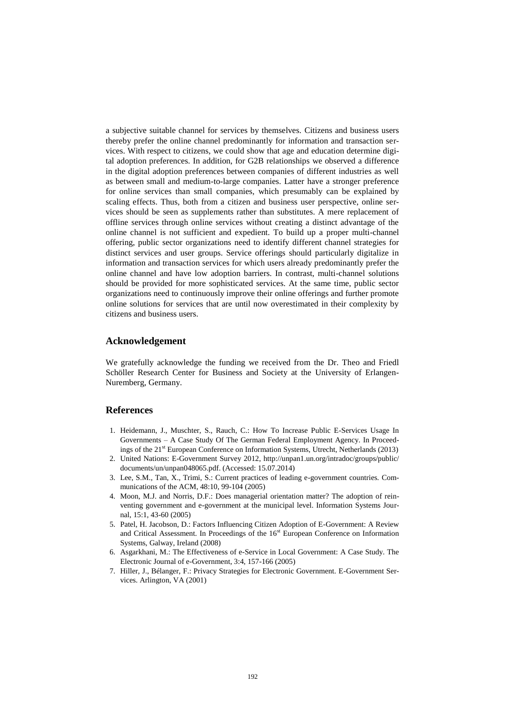a subjective suitable channel for services by themselves. Citizens and business users thereby prefer the online channel predominantly for information and transaction services. With respect to citizens, we could show that age and education determine digital adoption preferences. In addition, for G2B relationships we observed a difference in the digital adoption preferences between companies of different industries as well as between small and medium-to-large companies. Latter have a stronger preference for online services than small companies, which presumably can be explained by scaling effects. Thus, both from a citizen and business user perspective, online services should be seen as supplements rather than substitutes. A mere replacement of offline services through online services without creating a distinct advantage of the online channel is not sufficient and expedient. To build up a proper multi-channel offering, public sector organizations need to identify different channel strategies for distinct services and user groups. Service offerings should particularly digitalize in information and transaction services for which users already predominantly prefer the online channel and have low adoption barriers. In contrast, multi-channel solutions should be provided for more sophisticated services. At the same time, public sector organizations need to continuously improve their online offerings and further promote online solutions for services that are until now overestimated in their complexity by citizens and business users.

#### **Acknowledgement**

We gratefully acknowledge the funding we received from the Dr. Theo and Friedl Schöller Research Center for Business and Society at the University of Erlangen-Nuremberg, Germany.

### **References**

- 1. Heidemann, J., Muschter, S., Rauch, C.: How To Increase Public E-Services Usage In Governments – A Case Study Of The German Federal Employment Agency. In Proceedings of the 21<sup>st</sup> European Conference on Information Systems, Utrecht, Netherlands (2013)
- 2. United Nations: E-Government Survey 2012, [http://unpan1.un.org/intradoc/groups/public/](http://unpan1.un.org/intradoc/groups/public/%20documents/un/unpan048065.pdf)  [documents/un/unpan048065.pdf.](http://unpan1.un.org/intradoc/groups/public/%20documents/un/unpan048065.pdf) (Accessed: 15.07.2014)
- 3. Lee, S.M., Tan, X., Trimi, S.: Current practices of leading e-government countries*.* Communications of the ACM, 48:10, 99-104 (2005)
- 4. Moon, M.J. and Norris, D.F.: Does managerial orientation matter? The adoption of reinventing government and e-government at the municipal level. Information Systems Journal, 15:1, 43-60 (2005)
- 5. Patel, H. Jacobson, D.: Factors Influencing Citizen Adoption of E-Government: A Review and Critical Assessment. In Proceedings of the 16<sup>st</sup> European Conference on Information Systems, Galway, Ireland (2008)
- 6. Asgarkhani, M.: The Effectiveness of e-Service in Local Government: A Case Study. The Electronic Journal of e-Government, 3:4, 157-166 (2005)
- 7. Hiller, J., Bélanger, F.: Privacy Strategies for Electronic Government. E-Government Services. Arlington, VA (2001)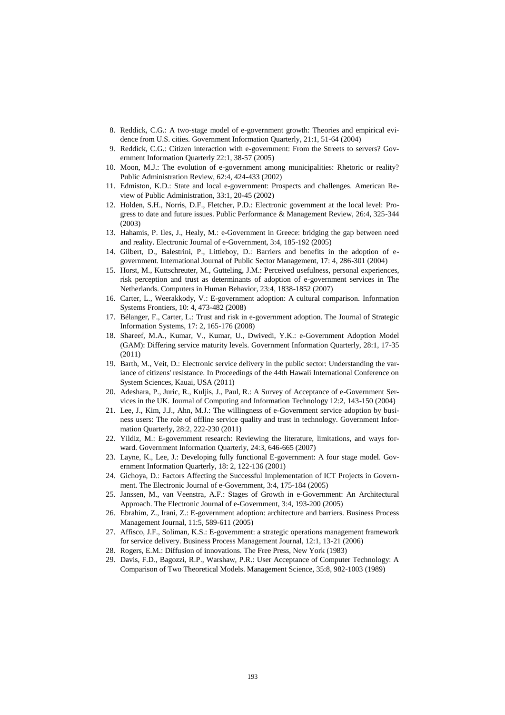- 8. Reddick, C.G.: A two-stage model of e-government growth: Theories and empirical evidence from U.S. cities. Government Information Quarterly, 21:1, 51-64 (2004)
- 9. Reddick, C.G.: Citizen interaction with e-government: From the Streets to servers? Government Information Quarterly 22:1, 38-57 (2005)
- 10. Moon, M.J.: The evolution of e-government among municipalities: Rhetoric or reality? Public Administration Review, 62:4, 424-433 (2002)
- 11. Edmiston, K.D.: State and local e-government: Prospects and challenges. American Review of Public Administration, 33:1, 20-45 (2002)
- 12. Holden, S.H., Norris, D.F., Fletcher, P.D.: Electronic government at the local level: Progress to date and future issues. Public Performance & Management Review, 26:4, 325-344 (2003)
- 13. Hahamis, P. Iles, J., Healy, M.: e-Government in Greece: bridging the gap between need and reality. Electronic Journal of e-Government, 3:4, 185-192 (2005)
- 14. Gilbert, D., Balestrini, P., Littleboy, D.: Barriers and benefits in the adoption of egovernment. International Journal of Public Sector Management, 17: 4, 286-301 (2004)
- 15. Horst, M., Kuttschreuter, M., Gutteling, J.M.: Perceived usefulness, personal experiences, risk perception and trust as determinants of adoption of e-government services in The Netherlands. Computers in Human Behavior, 23:4, 1838-1852 (2007)
- 16. Carter, L., Weerakkody, V.: E-government adoption: A cultural comparison. [Information](http://link.springer.com/journal/10796)  [Systems Frontiers,](http://link.springer.com/journal/10796) [10: 4, 473-482](http://link.springer.com/journal/10796/10/4/page/1) (2008)
- 17. Bélanger, F., Carter, L.: Trust and risk in e-government adoption. The Journal of Strategic Information Systems, 17: 2, 165-176 (2008)
- 18. Shareef, M.A., Kumar, V., Kumar, U., Dwivedi, Y.K.: e-Government Adoption Model (GAM): Differing service maturity levels. Government Information Quarterly, 28:1, 17-35 (2011)
- 19. Barth, M., Veit, D.: Electronic service delivery in the public sector: Understanding the variance of citizens' resistance. In Proceedings of the 44th Hawaii International Conference on System Sciences, Kauai, USA (2011)
- 20. Adeshara, P., Juric, R., Kuljis, J., Paul, R.: A Survey of Acceptance of e-Government Services in the UK. Journal of Computing and Information Technology 12:2, 143-150 (2004)
- 21. Lee, J., Kim, J.J., Ahn, M.J.: The willingness of e-Government service adoption by business users: The role of offline service quality and trust in technology. Government Information Quarterly, 28:2, 222-230 (2011)
- 22. Yildiz, M.: E-government research: Reviewing the literature, limitations, and ways forward. Government Information Quarterly, 24:3, 646-665 (2007)
- 23. Layne, K., Lee, J.: Developing fully functional E-government: A four stage model. Government Information Quarterly, 18: 2, 122-136 (2001)
- 24. Gichoya, D.: Factors Affecting the Successful Implementation of ICT Projects in Government. The Electronic Journal of e-Government, 3:4, 175-184 (2005)
- 25. Janssen, M., van Veenstra, A.F.: Stages of Growth in e-Government: An Architectural Approach. The Electronic Journal of e-Government, 3:4, 193-200 (2005)
- 26. Ebrahim, Z., Irani, Z.: E-government adoption: architecture and barriers. Business Process Management Journal, 11:5, 589-611 (2005)
- 27. Affisco, J.F., Soliman, K.S.: E-government: a strategic operations management framework for service delivery. Business Process Management Journal, 12:1, 13-21 (2006)
- 28. Rogers, E.M.: Diffusion of innovations. The Free Press, New York (1983)
- 29. Davis, F.D., Bagozzi, R.P., Warshaw, P.R.: [User Acceptance of Computer Technology: A](http://pubsonline.informs.org/doi/abs/10.1287/mnsc.35.8.982)  [Comparison of Two Theoretical Models.](http://pubsonline.informs.org/doi/abs/10.1287/mnsc.35.8.982) Management Science, 35:8, 982-1003 (1989)